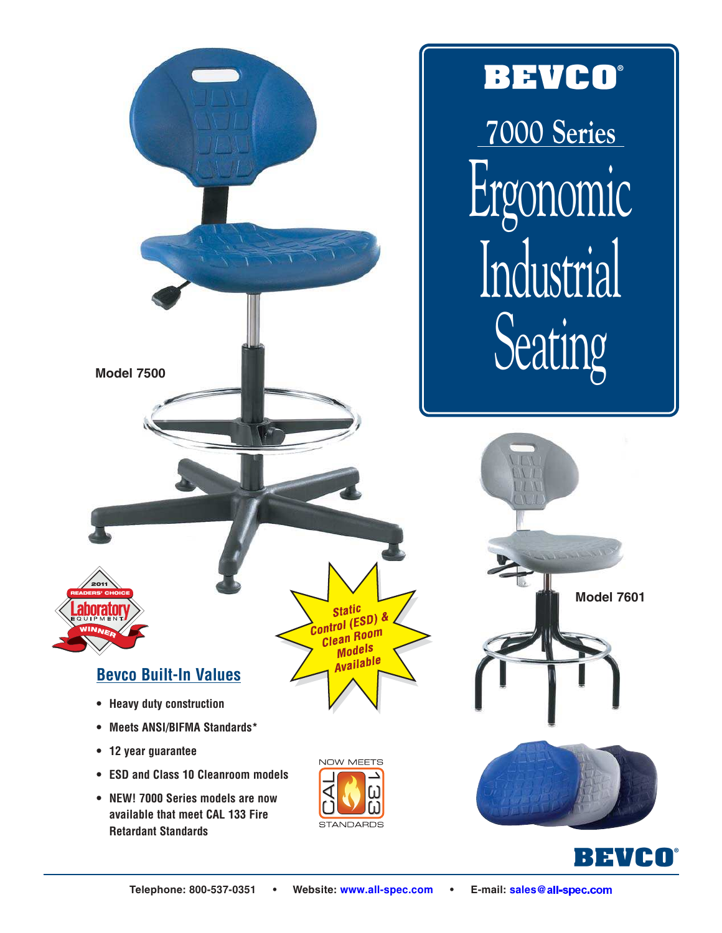